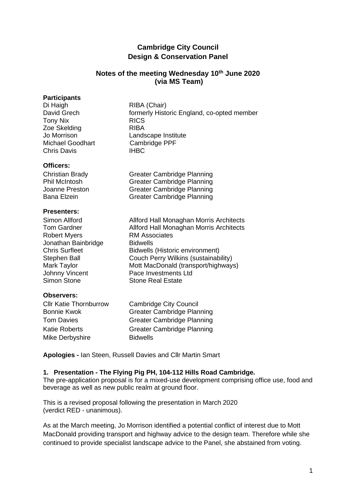## **Cambridge City Council Design & Conservation Panel**

## **Notes of the meeting Wednesday 10th June 2020 (via MS Team)**

### **Participants**

| Di Haigh                | RIBA (Chair)                               |
|-------------------------|--------------------------------------------|
| David Grech             | formerly Historic England, co-opted member |
| Tony Nix                | <b>RICS</b>                                |
| Zoe Skelding            | <b>RIBA</b>                                |
| Jo Morrison             | Landscape Institute                        |
| <b>Michael Goodhart</b> | Cambridge PPF                              |
| <b>Chris Davis</b>      | <b>IHBC</b>                                |

#### **Officers:**

Christian Brady Greater Cambridge Planning Phil McIntosh Greater Cambridge Planning Joanne Preston Greater Cambridge Planning Bana Elzein Greater Cambridge Planning

### **Presenters:**

| Simon Allford         | Allford Hall Monaghan Morris Architects |
|-----------------------|-----------------------------------------|
| <b>Tom Gardner</b>    | Allford Hall Monaghan Morris Architects |
| <b>Robert Myers</b>   | <b>RM Associates</b>                    |
| Jonathan Bainbridge   | <b>Bidwells</b>                         |
| <b>Chris Surfleet</b> | Bidwells (Historic environment)         |
| <b>Stephen Ball</b>   | Couch Perry Wilkins (sustainability)    |
| Mark Taylor           | Mott MacDonald (transport/highways)     |
| Johnny Vincent        | Pace Investments Ltd                    |
| <b>Simon Stone</b>    | <b>Stone Real Estate</b>                |
| Ohservers:            |                                         |

### **Observers:**

| <b>Cllr Katie Thornburrow</b> | Cambridge City Council            |
|-------------------------------|-----------------------------------|
| Bonnie Kwok                   | <b>Greater Cambridge Planning</b> |
| Tom Davies                    | <b>Greater Cambridge Planning</b> |
| Katie Roberts                 | <b>Greater Cambridge Planning</b> |
| Mike Derbyshire               | <b>Bidwells</b>                   |

**Apologies -** Ian Steen, Russell Davies and Cllr Martin Smart

### **1. Presentation - The Flying Pig PH, 104-112 Hills Road Cambridge.**

The pre-application proposal is for a mixed-use development comprising office use, food and beverage as well as new public realm at ground floor.

This is a revised proposal following the presentation in March 2020 (verdict RED - unanimous).

As at the March meeting, Jo Morrison identified a potential conflict of interest due to Mott MacDonald providing transport and highway advice to the design team. Therefore while she continued to provide specialist landscape advice to the Panel, she abstained from voting.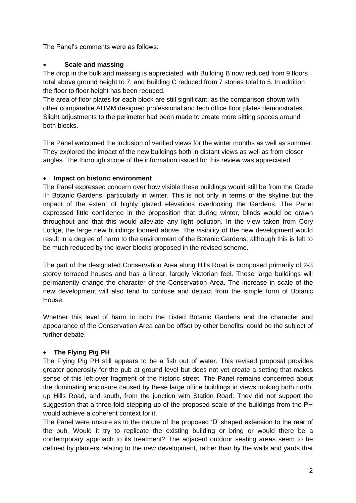The Panel's comments were as follows:

### • **Scale and massing**

The drop in the bulk and massing is appreciated, with Building B now reduced from 9 floors total above ground height to 7, and Building C reduced from 7 stories total to 5. In addition the floor to floor height has been reduced.

The area of floor plates for each block are still significant, as the comparison shown with other comparable AHMM designed professional and tech office floor plates demonstrates. Slight adjustments to the perimeter had been made to create more sitting spaces around both blocks.

The Panel welcomed the inclusion of verified views for the winter months as well as summer. They explored the impact of the new buildings both in distant views as well as from closer angles. The thorough scope of the information issued for this review was appreciated.

### • **Impact on historic environment**

The Panel expressed concern over how visible these buildings would still be from the Grade II\* Botanic Gardens, particularly in winter. This is not only in terms of the skyline but the impact of the extent of highly glazed elevations overlooking the Gardens. The Panel expressed little confidence in the proposition that during winter, blinds would be drawn throughout and that this would alleviate any light pollution. In the view taken from Cory Lodge, the large new buildings loomed above. The visibility of the new development would result in a degree of harm to the environment of the Botanic Gardens, although this is felt to be much reduced by the lower blocks proposed in the revised scheme.

The part of the designated Conservation Area along Hills Road is composed primarily of 2-3 storey terraced houses and has a linear, largely Victorian feel. These large buildings will permanently change the character of the Conservation Area. The increase in scale of the new development will also tend to confuse and detract from the simple form of Botanic House.

Whether this level of harm to both the Listed Botanic Gardens and the character and appearance of the Conservation Area can be offset by other benefits, could be the subject of further debate.

# • **The Flying Pig PH**

The Flying Pig PH still appears to be a fish out of water. This revised proposal provides greater generosity for the pub at ground level but does not yet create a setting that makes sense of this left-over fragment of the historic street. The Panel remains concerned about the dominating enclosure caused by these large office buildings in views looking both north, up Hills Road, and south, from the junction with Station Road. They did not support the suggestion that a three-fold stepping up of the proposed scale of the buildings from the PH would achieve a coherent context for it.

The Panel were unsure as to the nature of the proposed 'D' shaped extension to the rear of the pub. Would it try to replicate the existing building or bring or would there be a contemporary approach to its treatment? The adjacent outdoor seating areas seem to be defined by planters relating to the new development, rather than by the walls and yards that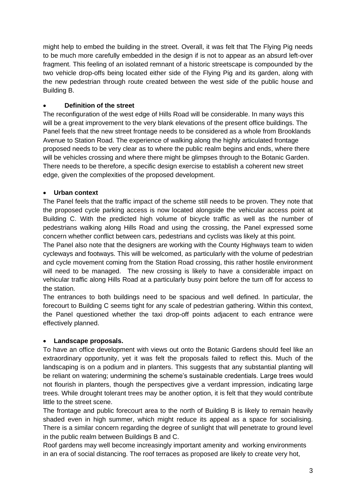might help to embed the building in the street. Overall, it was felt that The Flying Pig needs to be much more carefully embedded in the design if is not to appear as an absurd left-over fragment. This feeling of an isolated remnant of a historic streetscape is compounded by the two vehicle drop-offs being located either side of the Flying Pig and its garden, along with the new pedestrian through route created between the west side of the public house and Building B.

### • **Definition of the street**

The reconfiguration of the west edge of Hills Road will be considerable. In many ways this will be a great improvement to the very blank elevations of the present office buildings. The Panel feels that the new street frontage needs to be considered as a whole from Brooklands Avenue to Station Road. The experience of walking along the highly articulated frontage proposed needs to be very clear as to where the public realm begins and ends, where there will be vehicles crossing and where there might be glimpses through to the Botanic Garden. There needs to be therefore, a specific design exercise to establish a coherent new street edge, given the complexities of the proposed development.

### • **Urban context**

The Panel feels that the traffic impact of the scheme still needs to be proven. They note that the proposed cycle parking access is now located alongside the vehicular access point at Building C. With the predicted high volume of bicycle traffic as well as the number of pedestrians walking along Hills Road and using the crossing, the Panel expressed some concern whether conflict between cars, pedestrians and cyclists was likely at this point.

The Panel also note that the designers are working with the County Highways team to widen cycleways and footways. This will be welcomed, as particularly with the volume of pedestrian and cycle movement coming from the Station Road crossing, this rather hostile environment will need to be managed. The new crossing is likely to have a considerable impact on vehicular traffic along Hills Road at a particularly busy point before the turn off for access to the station.

The entrances to both buildings need to be spacious and well defined. In particular, the forecourt to Building C seems tight for any scale of pedestrian gathering. Within this context, the Panel questioned whether the taxi drop-off points adjacent to each entrance were effectively planned.

### • **Landscape proposals.**

To have an office development with views out onto the Botanic Gardens should feel like an extraordinary opportunity, yet it was felt the proposals failed to reflect this. Much of the landscaping is on a podium and in planters. This suggests that any substantial planting will be reliant on watering; undermining the scheme's sustainable credentials. Large trees would not flourish in planters, though the perspectives give a verdant impression, indicating large trees. While drought tolerant trees may be another option, it is felt that they would contribute little to the street scene.

The frontage and public forecourt area to the north of Building B is likely to remain heavily shaded even in high summer, which might reduce its appeal as a space for socialising. There is a similar concern regarding the degree of sunlight that will penetrate to ground level in the public realm between Buildings B and C.

Roof gardens may well become increasingly important amenity and working environments in an era of social distancing. The roof terraces as proposed are likely to create very hot,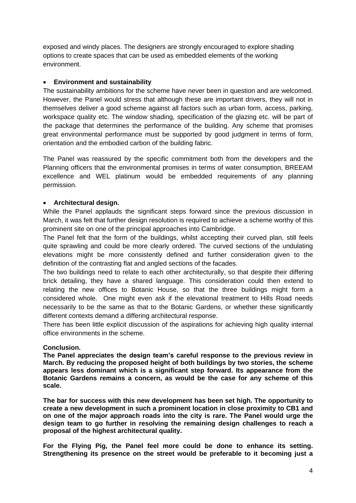exposed and windy places. The designers are strongly encouraged to explore shading options to create spaces that can be used as embedded elements of the working environment.

### • **Environment and sustainability**

The sustainability ambitions for the scheme have never been in question and are welcomed. However, the Panel would stress that although these are important drivers, they will not in themselves deliver a good scheme against all factors such as urban form, access, parking, workspace quality etc. The window shading, specification of the glazing etc. will be part of the package that determines the performance of the building. Any scheme that promises great environmental performance must be supported by good judgment in terms of form, orientation and the embodied carbon of the building fabric.

The Panel was reassured by the specific commitment both from the developers and the Planning officers that the environmental promises in terms of water consumption, BREEAM excellence and WEL platinum would be embedded requirements of any planning permission.

### • **Architectural design.**

While the Panel applauds the significant steps forward since the previous discussion in March, it was felt that further design resolution is required to achieve a scheme worthy of this prominent site on one of the principal approaches into Cambridge.

The Panel felt that the form of the buildings, whilst accepting their curved plan, still feels quite sprawling and could be more clearly ordered. The curved sections of the undulating elevations might be more consistently defined and further consideration given to the definition of the contrasting flat and angled sections of the facades.

The two buildings need to relate to each other architecturally, so that despite their differing brick detailing, they have a shared language. This consideration could then extend to relating the new offices to Botanic House, so that the three buildings might form a considered whole. One might even ask if the elevational treatment to Hills Road needs necessarily to be the same as that to the Botanic Gardens, or whether these significantly different contexts demand a differing architectural response.

There has been little explicit discussion of the aspirations for achieving high quality internal office environments in the scheme.

### **Conclusion.**

**The Panel appreciates the design team's careful response to the previous review in March. By reducing the proposed height of both buildings by two stories, the scheme appears less dominant which is a significant step forward. Its appearance from the Botanic Gardens remains a concern, as would be the case for any scheme of this scale.** 

**The bar for success with this new development has been set high. The opportunity to create a new development in such a prominent location in close proximity to CB1 and on one of the major approach roads into the city is rare. The Panel would urge the design team to go further in resolving the remaining design challenges to reach a proposal of the highest architectural quality.**

**For the Flying Pig, the Panel feel more could be done to enhance its setting. Strengthening its presence on the street would be preferable to it becoming just a**